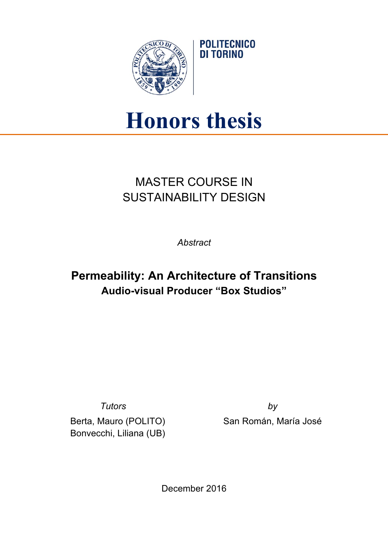

## **Honors thesis**

**POLITECNICO DI TORINO** 

## MASTER COURSE IN SUSTAINABILITY DESIGN

*Abstract*

## **Permeability: An Architecture of Transitions Audio-visual Producer "Box Studios"**

*Tutors by*

Berta, Mauro (POLITO) Bonvecchi, Liliana (UB)

San Román, María José

December 2016